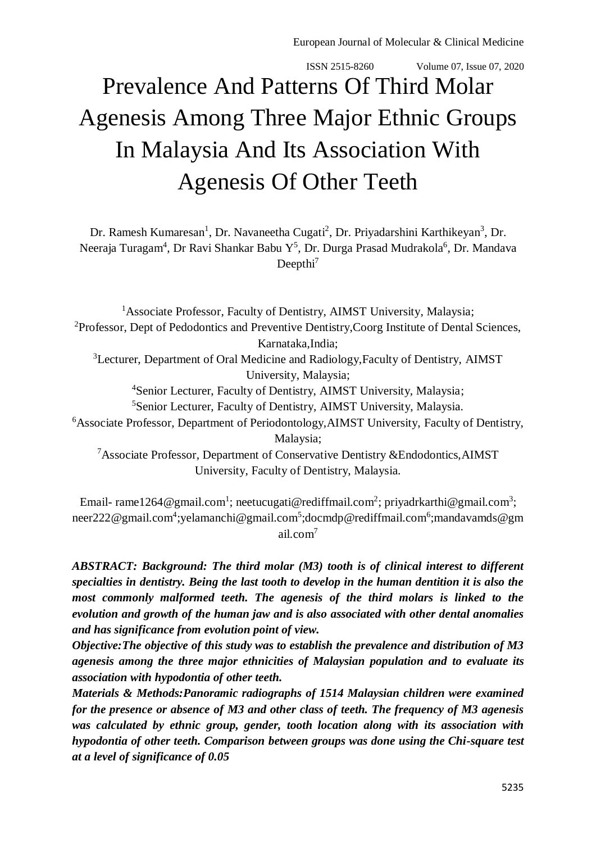# Prevalence And Patterns Of Third Molar Agenesis Among Three Major Ethnic Groups In Malaysia And Its Association With Agenesis Of Other Teeth

Dr. Ramesh Kumaresan<sup>1</sup>, Dr. Navaneetha Cugati<sup>2</sup>, Dr. Priyadarshini Karthikeyan<sup>3</sup>, Dr. Neeraja Turagam<sup>4</sup>, Dr Ravi Shankar Babu Y<sup>5</sup>, Dr. Durga Prasad Mudrakola<sup>6</sup>, Dr. Mandava Deepthi<sup>7</sup>

<sup>1</sup>Associate Professor, Faculty of Dentistry, AIMST University, Malaysia; <sup>2</sup>Professor, Dept of Pedodontics and Preventive Dentistry,Coorg Institute of Dental Sciences, Karnataka,India; <sup>3</sup>Lecturer, Department of Oral Medicine and Radiology,Faculty of Dentistry, AIMST University, Malaysia; <sup>4</sup>Senior Lecturer, Faculty of Dentistry, AIMST University, Malaysia; <sup>5</sup>Senior Lecturer, Faculty of Dentistry, AIMST University, Malaysia. <sup>6</sup>Associate Professor, Department of Periodontology, AIMST University, Faculty of Dentistry, Malaysia; <sup>7</sup>Associate Professor, Department of Conservative Dentistry &Endodontics,AIMST

University, Faculty of Dentistry, Malaysia.

Email- [rame1264@gmail.com](mailto:rame1264@gmail.com)<sup>1</sup>; [neetucugati@rediffmail.com](mailto:neetucugati@rediffmail.com)<sup>2</sup>; [priyadrkarthi@gmail.com](mailto:priyadrkarthi@gmail.com)<sup>3</sup>; [neer222@gmail.com](mailto:neer222@gmail.com)<sup>4</sup>[;yelamanchi@gmail.com](mailto:yelamanchi@gmail.com)<sup>5</sup>[;docmdp@rediffmail.com](mailto:docmdp@rediffmail.com)<sup>6</sup>[;mandavamds@gm](mailto:mandavamds@gmail.com) [ail.com](mailto:mandavamds@gmail.com)<sup>7</sup>

*ABSTRACT: Background: The third molar (M3) tooth is of clinical interest to different specialties in dentistry. Being the last tooth to develop in the human dentition it is also the most commonly malformed teeth. The agenesis of the third molars is linked to the evolution and growth of the human jaw and is also associated with other dental anomalies and has significance from evolution point of view.*

*Objective:The objective of this study was to establish the prevalence and distribution of M3 agenesis among the three major ethnicities of Malaysian population and to evaluate its association with hypodontia of other teeth.*

*Materials & Methods:Panoramic radiographs of 1514 Malaysian children were examined for the presence or absence of M3 and other class of teeth. The frequency of M3 agenesis was calculated by ethnic group, gender, tooth location along with its association with hypodontia of other teeth. Comparison between groups was done using the Chi-square test at a level of significance of 0.05*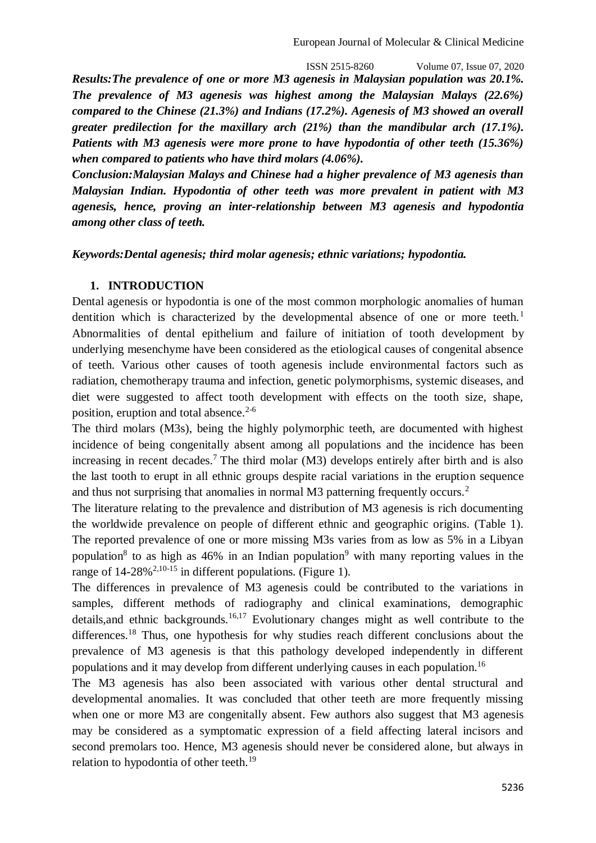*Results:The prevalence of one or more M3 agenesis in Malaysian population was 20.1%. The prevalence of M3 agenesis was highest among the Malaysian Malays (22.6%) compared to the Chinese (21.3%) and Indians (17.2%). Agenesis of M3 showed an overall greater predilection for the maxillary arch (21%) than the mandibular arch (17.1%). Patients with M3 agenesis were more prone to have hypodontia of other teeth (15.36%) when compared to patients who have third molars (4.06%).*

*Conclusion:Malaysian Malays and Chinese had a higher prevalence of M3 agenesis than Malaysian Indian. Hypodontia of other teeth was more prevalent in patient with M3 agenesis, hence, proving an inter-relationship between M3 agenesis and hypodontia among other class of teeth.*

*Keywords:Dental agenesis; third molar agenesis; ethnic variations; hypodontia.*

#### **1. INTRODUCTION**

Dental agenesis or hypodontia is one of the most common morphologic anomalies of human dentition which is characterized by the developmental absence of one or more teeth.<sup>1</sup> Abnormalities of dental epithelium and failure of initiation of tooth development by underlying mesenchyme have been considered as the etiological causes of congenital absence of teeth. Various other causes of tooth agenesis include environmental factors such as radiation, chemotherapy trauma and infection, genetic polymorphisms, systemic diseases, and diet were suggested to affect tooth development with effects on the tooth size, shape, position, eruption and total absence.<sup>2-6</sup>

The third molars (M3s), being the highly polymorphic teeth, are documented with highest incidence of being congenitally absent among all populations and the incidence has been increasing in recent decades.<sup>7</sup> The third molar  $(M3)$  develops entirely after birth and is also the last tooth to erupt in all ethnic groups despite racial variations in the eruption sequence and thus not surprising that anomalies in normal M3 patterning frequently occurs.<sup>2</sup>

The literature relating to the prevalence and distribution of M3 agenesis is rich documenting the worldwide prevalence on people of different ethnic and geographic origins. (Table 1). The reported prevalence of one or more missing M3s varies from as low as 5% in a Libyan population<sup>8</sup> to as high as 46% in an Indian population<sup>9</sup> with many reporting values in the range of  $14-28\%^{2,10-15}$  in different populations. (Figure 1).

The differences in prevalence of M3 agenesis could be contributed to the variations in samples, different methods of radiography and clinical examinations, demographic details, and ethnic backgrounds.<sup>16,17</sup> Evolutionary changes might as well contribute to the differences.<sup>18</sup> Thus, one hypothesis for why studies reach different conclusions about the prevalence of M3 agenesis is that this pathology developed independently in different populations and it may develop from different underlying causes in each population.<sup>16</sup>

The M3 agenesis has also been associated with various other dental structural and developmental anomalies. It was concluded that other teeth are more frequently missing when one or more M3 are congenitally absent. Few authors also suggest that M3 agenesis may be considered as a symptomatic expression of a field affecting lateral incisors and second premolars too. Hence, M3 agenesis should never be considered alone, but always in relation to hypodontia of other teeth.<sup>19</sup>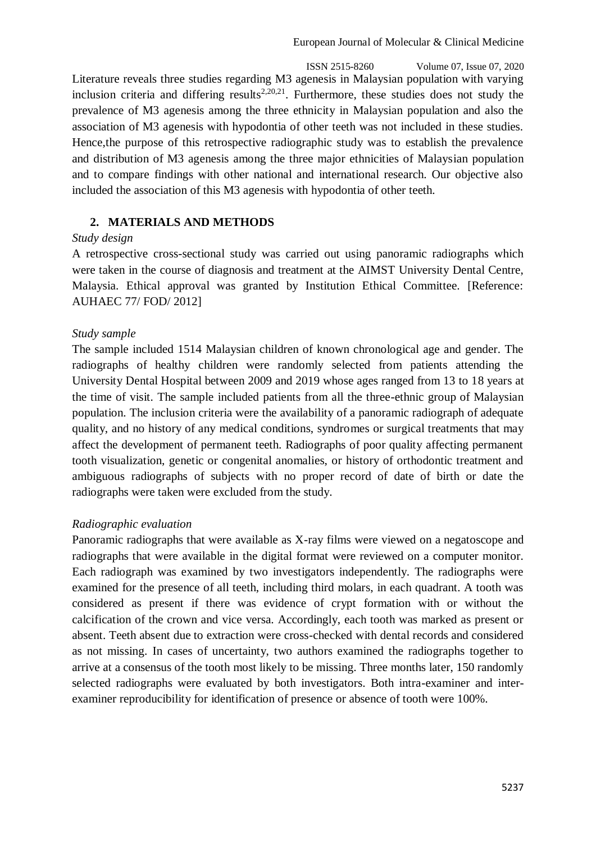ISSN 2515-8260 Volume 07, Issue 07, 2020 Literature reveals three studies regarding M3 agenesis in Malaysian population with varying inclusion criteria and differing results<sup>2,20,21</sup>. Furthermore, these studies does not study the prevalence of M3 agenesis among the three ethnicity in Malaysian population and also the association of M3 agenesis with hypodontia of other teeth was not included in these studies. Hence,the purpose of this retrospective radiographic study was to establish the prevalence and distribution of M3 agenesis among the three major ethnicities of Malaysian population and to compare findings with other national and international research. Our objective also included the association of this M3 agenesis with hypodontia of other teeth.

## **2. MATERIALS AND METHODS**

#### *Study design*

A retrospective cross-sectional study was carried out using panoramic radiographs which were taken in the course of diagnosis and treatment at the AIMST University Dental Centre, Malaysia. Ethical approval was granted by Institution Ethical Committee. [Reference: AUHAEC 77/ FOD/ 2012]

## *Study sample*

The sample included 1514 Malaysian children of known chronological age and gender. The radiographs of healthy children were randomly selected from patients attending the University Dental Hospital between 2009 and 2019 whose ages ranged from 13 to 18 years at the time of visit. The sample included patients from all the three-ethnic group of Malaysian population. The inclusion criteria were the availability of a panoramic radiograph of adequate quality, and no history of any medical conditions, syndromes or surgical treatments that may affect the development of permanent teeth. Radiographs of poor quality affecting permanent tooth visualization, genetic or congenital anomalies, or history of orthodontic treatment and ambiguous radiographs of subjects with no proper record of date of birth or date the radiographs were taken were excluded from the study.

## *Radiographic evaluation*

Panoramic radiographs that were available as X-ray films were viewed on a negatoscope and radiographs that were available in the digital format were reviewed on a computer monitor. Each radiograph was examined by two investigators independently. The radiographs were examined for the presence of all teeth, including third molars, in each quadrant. A tooth was considered as present if there was evidence of crypt formation with or without the calcification of the crown and vice versa. Accordingly, each tooth was marked as present or absent. Teeth absent due to extraction were cross-checked with dental records and considered as not missing. In cases of uncertainty, two authors examined the radiographs together to arrive at a consensus of the tooth most likely to be missing. Three months later, 150 randomly selected radiographs were evaluated by both investigators. Both intra-examiner and interexaminer reproducibility for identification of presence or absence of tooth were 100%.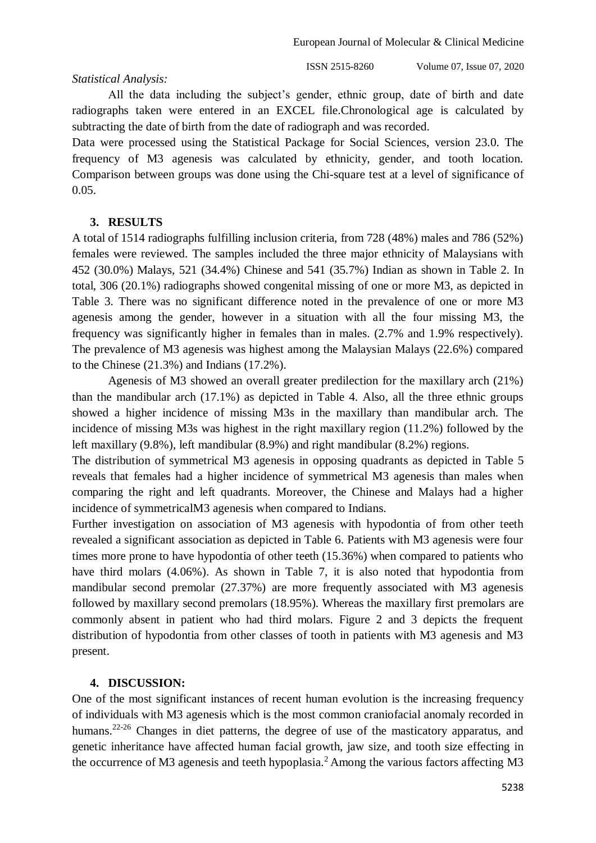#### *Statistical Analysis:*

ISSN 2515-8260 Volume 07, Issue 07, 2020

All the data including the subject's gender, ethnic group, date of birth and date radiographs taken were entered in an EXCEL file.Chronological age is calculated by subtracting the date of birth from the date of radiograph and was recorded.

Data were processed using the Statistical Package for Social Sciences, version 23.0. The frequency of M3 agenesis was calculated by ethnicity, gender, and tooth location. Comparison between groups was done using the Chi-square test at a level of significance of 0.05.

#### **3. RESULTS**

A total of 1514 radiographs fulfilling inclusion criteria, from 728 (48%) males and 786 (52%) females were reviewed. The samples included the three major ethnicity of Malaysians with 452 (30.0%) Malays, 521 (34.4%) Chinese and 541 (35.7%) Indian as shown in Table 2. In total, 306 (20.1%) radiographs showed congenital missing of one or more M3, as depicted in Table 3. There was no significant difference noted in the prevalence of one or more M3 agenesis among the gender, however in a situation with all the four missing M3, the frequency was significantly higher in females than in males. (2.7% and 1.9% respectively). The prevalence of M3 agenesis was highest among the Malaysian Malays (22.6%) compared to the Chinese (21.3%) and Indians (17.2%).

Agenesis of M3 showed an overall greater predilection for the maxillary arch (21%) than the mandibular arch (17.1%) as depicted in Table 4. Also, all the three ethnic groups showed a higher incidence of missing M3s in the maxillary than mandibular arch. The incidence of missing M3s was highest in the right maxillary region (11.2%) followed by the left maxillary (9.8%), left mandibular (8.9%) and right mandibular (8.2%) regions.

The distribution of symmetrical M3 agenesis in opposing quadrants as depicted in Table 5 reveals that females had a higher incidence of symmetrical M3 agenesis than males when comparing the right and left quadrants. Moreover, the Chinese and Malays had a higher incidence of symmetricalM3 agenesis when compared to Indians.

Further investigation on association of M3 agenesis with hypodontia of from other teeth revealed a significant association as depicted in Table 6. Patients with M3 agenesis were four times more prone to have hypodontia of other teeth (15.36%) when compared to patients who have third molars (4.06%). As shown in Table 7, it is also noted that hypodontia from mandibular second premolar (27.37%) are more frequently associated with M3 agenesis followed by maxillary second premolars (18.95%). Whereas the maxillary first premolars are commonly absent in patient who had third molars. Figure 2 and 3 depicts the frequent distribution of hypodontia from other classes of tooth in patients with M3 agenesis and M3 present.

#### **4. DISCUSSION:**

One of the most significant instances of recent human evolution is the increasing frequency of individuals with M3 agenesis which is the most common craniofacial anomaly recorded in humans.<sup>22-26</sup> Changes in diet patterns, the degree of use of the masticatory apparatus, and genetic inheritance have affected human facial growth, jaw size, and tooth size effecting in the occurrence of M3 agenesis and teeth hypoplasia.<sup>2</sup> Among the various factors affecting M3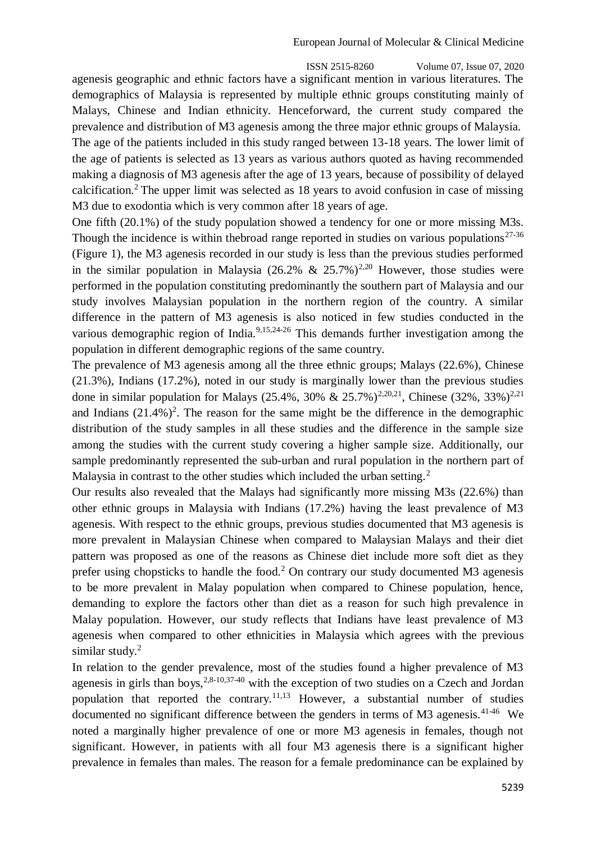ISSN 2515-8260 Volume 07, Issue 07, 2020 agenesis geographic and ethnic factors have a significant mention in various literatures. The demographics of Malaysia is represented by multiple ethnic groups constituting mainly of Malays, Chinese and Indian ethnicity. Henceforward, the current study compared the prevalence and distribution of M3 agenesis among the three major ethnic groups of Malaysia. The age of the patients included in this study ranged between 13-18 years. The lower limit of the age of patients is selected as 13 years as various authors quoted as having recommended making a diagnosis of M3 agenesis after the age of 13 years, because of possibility of delayed calcification.<sup>2</sup> The upper limit was selected as  $18$  years to avoid confusion in case of missing M3 due to exodontia which is very common after 18 years of age.

One fifth (20.1%) of the study population showed a tendency for one or more missing M3s. Though the incidence is within the broad range reported in studies on various populations<sup>27-36</sup> (Figure 1), the M3 agenesis recorded in our study is less than the previous studies performed in the similar population in Malaysia (26.2% & 25.7%)<sup>2,20</sup> However, those studies were performed in the population constituting predominantly the southern part of Malaysia and our study involves Malaysian population in the northern region of the country. A similar difference in the pattern of M3 agenesis is also noticed in few studies conducted in the various demographic region of India. $9,15,24-26$  This demands further investigation among the population in different demographic regions of the same country.

The prevalence of M3 agenesis among all the three ethnic groups; Malays (22.6%), Chinese (21.3%), Indians (17.2%), noted in our study is marginally lower than the previous studies done in similar population for Malays (25.4%, 30% & 25.7%)<sup>2,20,21</sup>, Chinese (32%, 33%)<sup>2,21</sup> and Indians  $(21.4\%)^2$ . The reason for the same might be the difference in the demographic distribution of the study samples in all these studies and the difference in the sample size among the studies with the current study covering a higher sample size. Additionally, our sample predominantly represented the sub-urban and rural population in the northern part of Malaysia in contrast to the other studies which included the urban setting.<sup>2</sup>

Our results also revealed that the Malays had significantly more missing M3s (22.6%) than other ethnic groups in Malaysia with Indians (17.2%) having the least prevalence of M3 agenesis. With respect to the ethnic groups, previous studies documented that M3 agenesis is more prevalent in Malaysian Chinese when compared to Malaysian Malays and their diet pattern was proposed as one of the reasons as Chinese diet include more soft diet as they prefer using chopsticks to handle the food.<sup>2</sup> On contrary our study documented M3 agenesis to be more prevalent in Malay population when compared to Chinese population, hence, demanding to explore the factors other than diet as a reason for such high prevalence in Malay population. However, our study reflects that Indians have least prevalence of M3 agenesis when compared to other ethnicities in Malaysia which agrees with the previous similar study. $2$ 

In relation to the gender prevalence, most of the studies found a higher prevalence of M3 agenesis in girls than boys,  $2,8-10,37-40$  with the exception of two studies on a Czech and Jordan population that reported the contrary.<sup>11,13</sup> However, a substantial number of studies documented no significant difference between the genders in terms of M3 agenesis.<sup>41-46</sup> We noted a marginally higher prevalence of one or more M3 agenesis in females, though not significant. However, in patients with all four M3 agenesis there is a significant higher prevalence in females than males. The reason for a female predominance can be explained by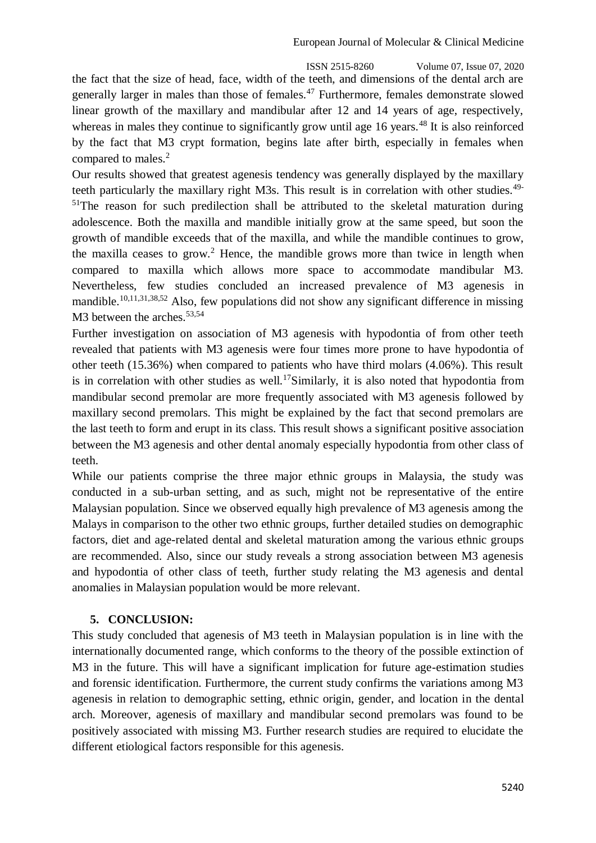ISSN 2515-8260 Volume 07, Issue 07, 2020 the fact that the size of head, face, width of the teeth, and dimensions of the dental arch are generally larger in males than those of females.<sup>47</sup> Furthermore, females demonstrate slowed linear growth of the maxillary and mandibular after 12 and 14 years of age, respectively, whereas in males they continue to significantly grow until age 16 years.<sup>48</sup> It is also reinforced by the fact that M3 crypt formation, begins late after birth, especially in females when compared to males.<sup>2</sup>

Our results showed that greatest agenesis tendency was generally displayed by the maxillary teeth particularly the maxillary right M3s. This result is in correlation with other studies.<sup>49-</sup>  $51$ The reason for such predilection shall be attributed to the skeletal maturation during adolescence. Both the maxilla and mandible initially grow at the same speed, but soon the growth of mandible exceeds that of the maxilla, and while the mandible continues to grow, the maxilla ceases to grow.<sup>2</sup> Hence, the mandible grows more than twice in length when compared to maxilla which allows more space to accommodate mandibular M3. Nevertheless, few studies concluded an increased prevalence of M3 agenesis in mandible.<sup>10,11,31,38,52</sup> Also, few populations did not show any significant difference in missing M3 between the arches.<sup>53,54</sup>

Further investigation on association of M3 agenesis with hypodontia of from other teeth revealed that patients with M3 agenesis were four times more prone to have hypodontia of other teeth (15.36%) when compared to patients who have third molars (4.06%). This result is in correlation with other studies as well.<sup>17</sup>Similarly, it is also noted that hypodontia from mandibular second premolar are more frequently associated with M3 agenesis followed by maxillary second premolars. This might be explained by the fact that second premolars are the last teeth to form and erupt in its class. This result shows a significant positive association between the M3 agenesis and other dental anomaly especially hypodontia from other class of teeth.

While our patients comprise the three major ethnic groups in Malaysia, the study was conducted in a sub-urban setting, and as such, might not be representative of the entire Malaysian population. Since we observed equally high prevalence of M3 agenesis among the Malays in comparison to the other two ethnic groups, further detailed studies on demographic factors, diet and age-related dental and skeletal maturation among the various ethnic groups are recommended. Also, since our study reveals a strong association between M3 agenesis and hypodontia of other class of teeth, further study relating the M3 agenesis and dental anomalies in Malaysian population would be more relevant.

## **5. CONCLUSION:**

This study concluded that agenesis of M3 teeth in Malaysian population is in line with the internationally documented range, which conforms to the theory of the possible extinction of M3 in the future. This will have a significant implication for future age-estimation studies and forensic identification. Furthermore, the current study confirms the variations among M3 agenesis in relation to demographic setting, ethnic origin, gender, and location in the dental arch. Moreover, agenesis of maxillary and mandibular second premolars was found to be positively associated with missing M3. Further research studies are required to elucidate the different etiological factors responsible for this agenesis.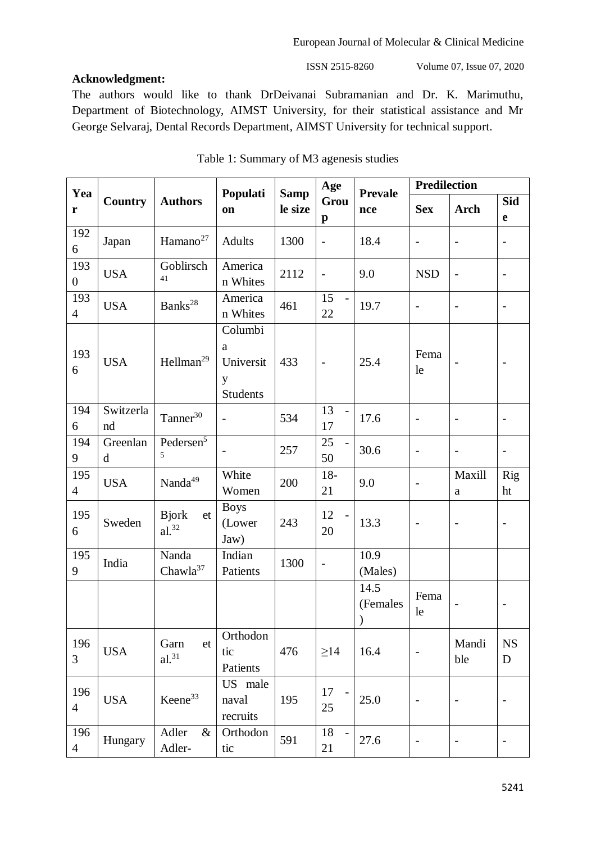## **Acknowledgment:**

ISSN 2515-8260 Volume 07, Issue 07, 2020

The authors would like to thank DrDeivanai Subramanian and Dr. K. Marimuthu, Department of Biotechnology, AIMST University, for their statistical assistance and Mr George Selvaraj, Dental Records Department, AIMST University for technical support.

| Yea                   |                         |                                  |                                                   |                        | Age                        | <b>Prevale</b>   | <b>Predilection</b>      |                              |                          |
|-----------------------|-------------------------|----------------------------------|---------------------------------------------------|------------------------|----------------------------|------------------|--------------------------|------------------------------|--------------------------|
| ${\bf r}$             | Country                 | <b>Authors</b>                   | Populati<br>on                                    | <b>Samp</b><br>le size | Grou<br>$\mathbf{p}$       | nce              | <b>Sex</b>               | <b>Arch</b>                  | Sid<br>e                 |
| 192<br>6              | Japan                   | Hamano <sup>27</sup>             | Adults                                            | 1300                   | $\frac{1}{2}$              | 18.4             | $\overline{\phantom{0}}$ | $\overline{\phantom{a}}$     | $\overline{\phantom{0}}$ |
| 193<br>$\mathbf{0}$   | <b>USA</b>              | Goblirsch<br>41                  | America<br>n Whites                               | 2112                   | $\overline{\phantom{0}}$   | 9.0              | <b>NSD</b>               | $\overline{\phantom{a}}$     | $\overline{\phantom{0}}$ |
| 193<br>$\overline{4}$ | <b>USA</b>              | Banks <sup>28</sup>              | America<br>n Whites                               | 461                    | 15<br>22                   | 19.7             | $\overline{\phantom{0}}$ | $\overline{\phantom{a}}$     | $\overline{\phantom{a}}$ |
| 193<br>6              | <b>USA</b>              | Hellman <sup>29</sup>            | Columbi<br>a<br>Universit<br>y<br><b>Students</b> | 433                    | $\overline{\phantom{0}}$   | 25.4             | Fema<br>le               |                              |                          |
| 194<br>6              | Switzerla<br>nd         | Tanner <sup>30</sup>             | $\overline{\phantom{a}}$                          | 534                    | 13<br>$\overline{a}$<br>17 | 17.6             | $\overline{a}$           | $\overline{\phantom{a}}$     | $\qquad \qquad -$        |
| 194<br>9              | Greenlan<br>$\mathbf d$ | Pedersen <sup>5</sup><br>5       |                                                   | 257                    | 25<br>50                   | 30.6             | $\overline{a}$           | $\overline{\phantom{a}}$     | $\qquad \qquad -$        |
| 195<br>$\overline{4}$ | <b>USA</b>              | Nanda <sup>49</sup>              | White<br>Women                                    | 200                    | $18-$<br>21                | 9.0              |                          | Maxill<br>a                  | Rig<br>ht                |
| 195<br>6              | Sweden                  | <b>Bjork</b><br>et<br>$al.^{32}$ | <b>Boys</b><br>(Lower<br>Jaw)                     | 243                    | 12<br>20                   | 13.3             | $\overline{\phantom{a}}$ | $\overline{\phantom{0}}$     | $\overline{\phantom{a}}$ |
| 195<br>9              | India                   | Nanda<br>Chawla <sup>37</sup>    | Indian<br>Patients                                | 1300                   | $\overline{\phantom{a}}$   | 10.9<br>(Males)  |                          |                              |                          |
|                       |                         |                                  |                                                   |                        |                            | 14.5<br>(Females | Fema<br>le               |                              |                          |
| 196<br>3              | <b>USA</b>              | Garn<br>et<br>$al.^{31}$         | Orthodon<br>tic<br>Patients                       | 476                    | $\geq$ 14                  | 16.4             |                          | Mandi<br>ble                 | <b>NS</b><br>D           |
| 196<br>$\overline{4}$ | <b>USA</b>              | Keene <sup>33</sup>              | US male<br>naval<br>recruits                      | 195                    | 17<br>25                   | 25.0             | $\overline{\phantom{a}}$ | $\overline{\phantom{a}}$     |                          |
| 196<br>$\overline{4}$ | Hungary                 | Adler<br>$\&$<br>Adler-          | Orthodon<br>tic                                   | 591                    | 18<br>21                   | 27.6             | $\qquad \qquad -$        | $\qquad \qquad \blacksquare$ | $\overline{\phantom{0}}$ |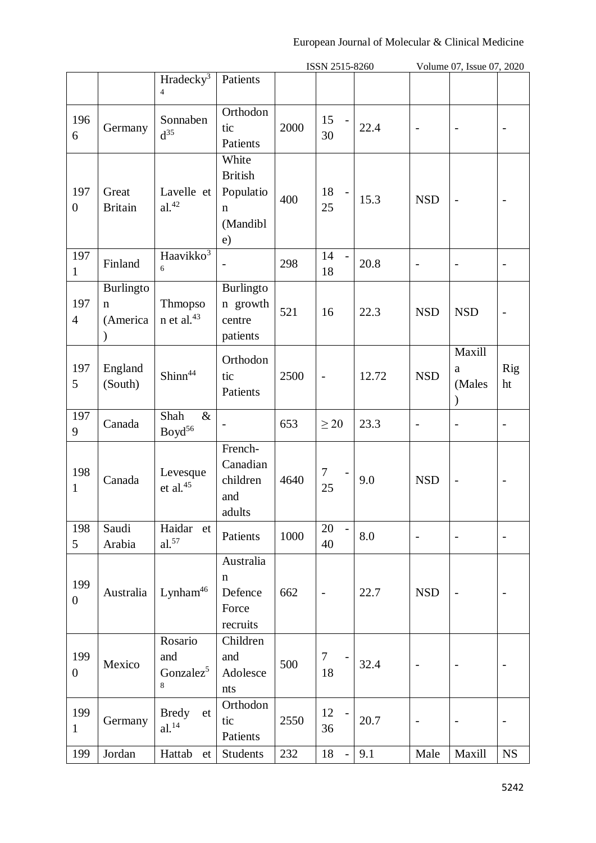|                         |                                           |                                              |                                                                       |      | ISSN 2515-8260             |       |                          | Volume 07, Issue 07, 2020    |                          |
|-------------------------|-------------------------------------------|----------------------------------------------|-----------------------------------------------------------------------|------|----------------------------|-------|--------------------------|------------------------------|--------------------------|
|                         |                                           | Hradecky <sup>3</sup><br>$\overline{4}$      | Patients                                                              |      |                            |       |                          |                              |                          |
| 196<br>6                | Germany                                   | Sonnaben<br>$d^{35}$                         | Orthodon<br>tic<br>Patients                                           | 2000 | 15<br>30                   | 22.4  | $\overline{a}$           | $\qquad \qquad -$            | $\overline{a}$           |
| 197<br>$\overline{0}$   | Great<br><b>Britain</b>                   | Lavelle et<br>$\rm al.^{42}$                 | White<br><b>British</b><br>Populatio<br>$\mathbf n$<br>(Mandibl<br>e) | 400  | 18<br>25                   | 15.3  | <b>NSD</b>               |                              | $\overline{\phantom{a}}$ |
| 197<br>$\mathbf{1}$     | Finland                                   | Haavikko <sup>3</sup><br>6                   | $\overline{\phantom{0}}$                                              | 298  | 14<br>18                   | 20.8  | $\overline{\phantom{a}}$ | $\overline{\phantom{0}}$     | $\overline{\phantom{0}}$ |
| 197<br>$\overline{4}$   | Burlingto<br>$\mathbf n$<br>(America<br>⟩ | <b>Thmopso</b><br>$n$ et al. <sup>43</sup>   | <b>Burlingto</b><br>n growth<br>centre<br>patients                    | 521  | 16                         | 22.3  | <b>NSD</b>               | <b>NSD</b>                   | $\overline{a}$           |
| 197<br>5                | England<br>(South)                        | Shinn <sup>44</sup>                          | Orthodon<br>tic<br>Patients                                           | 2500 | $\overline{a}$             | 12.72 | <b>NSD</b>               | Maxill<br>a<br>(Males        | Rig<br>ht                |
| 197<br>9                | Canada                                    | Shah<br>$\&$<br>Boyd <sup>56</sup>           |                                                                       | 653  | $\geq$ 20                  | 23.3  | $\overline{a}$           |                              | $\overline{\phantom{0}}$ |
| 198<br>$\mathbf{1}$     | Canada                                    | Levesque<br>et al. $45$                      | French-<br>Canadian<br>children<br>and<br>adults                      | 4640 | $\overline{7}$<br>25       | 9.0   | <b>NSD</b>               | $\overline{\phantom{0}}$     | $\overline{\phantom{a}}$ |
| 198<br>5                | Saudi<br>Arabia                           | Haidar et<br>$al.^{57}$                      | Patients                                                              | 1000 | 20<br>$\overline{a}$<br>40 | 8.0   | $\overline{\phantom{a}}$ | $\qquad \qquad \blacksquare$ | $\qquad \qquad -$        |
| 199<br>$\boldsymbol{0}$ | Australia                                 | Lynham <sup>46</sup>                         | Australia<br>$\mathbf n$<br>Defence<br>Force<br>recruits              | 662  | $\qquad \qquad -$          | 22.7  | <b>NSD</b>               |                              | $\qquad \qquad -$        |
| 199<br>$\boldsymbol{0}$ | Mexico                                    | Rosario<br>and<br>Gonzalez <sup>5</sup><br>8 | Children<br>and<br>Adolesce<br>nts                                    | 500  | $\overline{7}$<br>18       | 32.4  | $\overline{\phantom{a}}$ | $\overline{\phantom{a}}$     | $\overline{a}$           |
| 199<br>$\mathbf{1}$     | Germany                                   | <b>Bredy</b><br>et<br>$al.$ <sup>14</sup>    | Orthodon<br>tic<br>Patients                                           | 2550 | 12<br>36                   | 20.7  | $\overline{a}$           |                              | $\overline{a}$           |
| 199                     | Jordan                                    | Hattab et                                    | Students                                                              | 232  | 18<br>$\Box$               | 9.1   | Male                     | Maxill                       | <b>NS</b>                |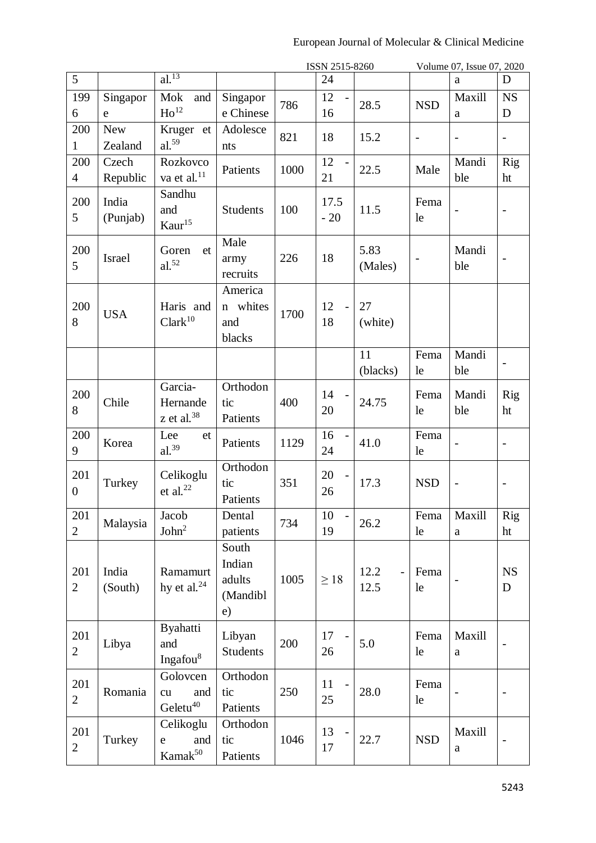|                         |                       |                                                |                                                   |      | ISSN 2515-8260                       |                 |                          | Volume 07, Issue 07, 2020 |                          |
|-------------------------|-----------------------|------------------------------------------------|---------------------------------------------------|------|--------------------------------------|-----------------|--------------------------|---------------------------|--------------------------|
| 5                       |                       | $al.$ <sup>13</sup>                            |                                                   |      | 24                                   |                 |                          | a                         | D                        |
| 199<br>6                | Singapor<br>e         | Mok<br>and<br>Ho <sup>12</sup>                 | Singapor<br>e Chinese                             | 786  | 12<br>16                             | 28.5            | <b>NSD</b>               | Maxill<br>a               | <b>NS</b><br>D           |
| 200<br>1                | <b>New</b><br>Zealand | Kruger et<br>$al.^{59}$                        | Adolesce<br>nts                                   | 821  | 18                                   | 15.2            | $\overline{\phantom{a}}$ | $\frac{1}{2}$             | $\overline{a}$           |
| 200<br>$\overline{4}$   | Czech<br>Republic     | Rozkovco<br>va et al. <sup>11</sup>            | Patients                                          | 1000 | 12<br>$\overline{\phantom{a}}$<br>21 | 22.5            | Male                     | Mandi<br>ble              | <b>Rig</b><br>ht         |
| 200<br>5                | India<br>(Punjab)     | Sandhu<br>and<br>$\mathrm{Kaur}^{15}$          | <b>Students</b>                                   | 100  | 17.5<br>$-20$                        | 11.5            | Fema<br>le               |                           | $\overline{\phantom{0}}$ |
| 200<br>5                | Israel                | Goren<br>et<br>$al.^{52}$                      | Male<br>army<br>recruits                          | 226  | 18                                   | 5.83<br>(Males) |                          | Mandi<br>ble              |                          |
| 200<br>8                | <b>USA</b>            | Haris and<br>$\rm Clark^{10}$                  | America<br>whites<br>$\mathbf n$<br>and<br>blacks | 1700 | 12<br>$\overline{a}$<br>18           | 27<br>(white)   |                          |                           |                          |
|                         |                       |                                                |                                                   |      |                                      | 11<br>(blacks)  | Fema<br>le               | Mandi<br>ble              |                          |
| 200<br>8                | Chile                 | Garcia-<br>Hernande<br>z et al. $38$           | Orthodon<br>tic<br>Patients                       | 400  | 14<br>20                             | 24.75           | Fema<br>le               | Mandi<br>ble              | Rig<br>ht                |
| 200<br>9                | Korea                 | Lee<br>et<br>$al.^{39}$                        | Patients                                          | 1129 | 16<br>24                             | 41.0            | Fema<br>le               |                           | $\qquad \qquad -$        |
| 201<br>$\boldsymbol{0}$ | Turkey                | Celikoglu<br>et al. $^{22}$                    | Orthodon<br>tic<br>Patients                       | 351  | 20<br>26                             | 17.3            | <b>NSD</b>               | $\overline{\phantom{0}}$  | $\overline{a}$           |
| 201<br>$\overline{2}$   | Malaysia              | Jacob<br>John <sup>2</sup>                     | Dental<br>patients                                | 734  | 10<br>$\overline{\phantom{a}}$<br>19 | 26.2            | Fema<br>le               | Maxill<br>a               | <b>Rig</b><br>ht         |
| 201<br>$\overline{2}$   | India<br>(South)      | Ramamurt<br>hy et al. $^{24}$                  | South<br>Indian<br>adults<br>(Mandibl<br>e)       | 1005 | $\geq 18$                            | 12.2<br>12.5    | Fema<br>le               |                           | NS<br>D                  |
| 201<br>$\overline{2}$   | Libya                 | <b>Byahatti</b><br>and<br>Ingafou <sup>8</sup> | Libyan<br><b>Students</b>                         | 200  | 17<br>26                             | 5.0             | Fema<br>le               | Maxill<br>$\mathbf{a}$    |                          |
| 201<br>$\overline{2}$   | Romania               | Golovcen<br>and<br>cu<br>Geletu <sup>40</sup>  | Orthodon<br>tic<br>Patients                       | 250  | 11<br>25                             | 28.0            | Fema<br>le               |                           | $\qquad \qquad -$        |
| 201<br>$\overline{2}$   | Turkey                | Celikoglu<br>and<br>e<br>Kamak <sup>50</sup>   | Orthodon<br>tic<br>Patients                       | 1046 | 13<br>17                             | 22.7            | <b>NSD</b>               | Maxill<br>$\mathbf{a}$    |                          |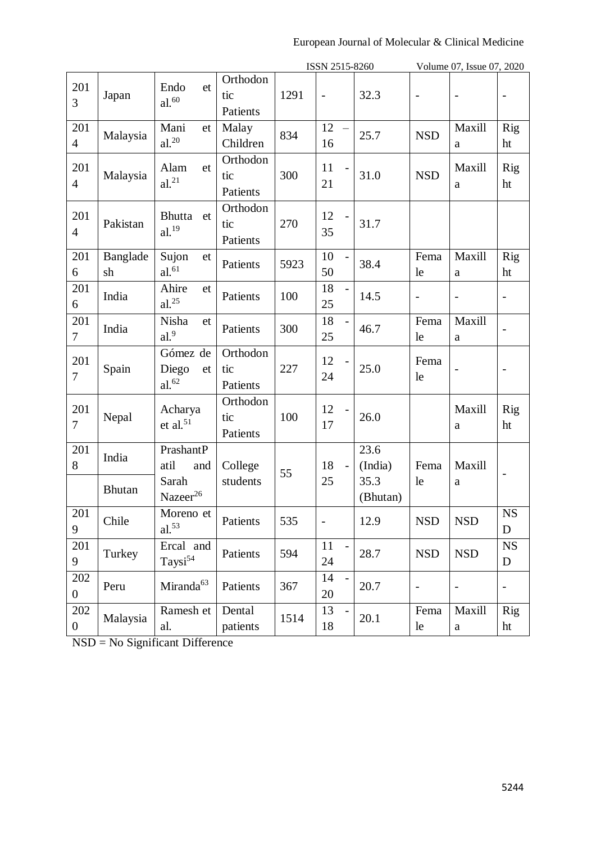|                         |                |                                              |                             |      | ISSN 2515-8260           |                  |                          | Volume 07, Issue 07, 2020 |                          |
|-------------------------|----------------|----------------------------------------------|-----------------------------|------|--------------------------|------------------|--------------------------|---------------------------|--------------------------|
| 201<br>3                | Japan          | Endo<br>et<br>$\rm{al.}^{60}$                | Orthodon<br>tic<br>Patients | 1291 | $\overline{\phantom{a}}$ | 32.3             | $\overline{a}$           | $\overline{\phantom{a}}$  | $\qquad \qquad -$        |
| 201<br>$\overline{4}$   | Malaysia       | Mani<br>et<br>$al.^{20}$                     | Malay<br>Children           | 834  | 12<br>16                 | 25.7             | <b>NSD</b>               | Maxill<br>a               | Rig<br>ht                |
| 201<br>$\overline{4}$   | Malaysia       | Alam<br>et<br>al. <sup>21</sup>              | Orthodon<br>tic<br>Patients | 300  | 11<br>21                 | 31.0             | <b>NSD</b>               | Maxill<br>a               | <b>Rig</b><br>ht         |
| 201<br>$\overline{4}$   | Pakistan       | Bhutta<br>et<br>$al.$ <sup>19</sup>          | Orthodon<br>tic<br>Patients | 270  | 12<br>35                 | 31.7             |                          |                           |                          |
| 201<br>6                | Banglade<br>sh | Sujon<br>et<br>$al.^{61}$                    | Patients                    | 5923 | 10<br>50                 | 38.4             | Fema<br>le               | Maxill<br>a               | <b>Rig</b><br>ht         |
| 201<br>6                | India          | Ahire<br>et<br>$al.$ <sup>25</sup>           | Patients                    | 100  | 18<br>25                 | 14.5             | $\overline{a}$           |                           |                          |
| 201<br>$\overline{7}$   | India          | Nisha<br>et<br>al. <sup>9</sup>              | Patients                    | 300  | 18<br>25                 | 46.7             | Fema<br>le               | Maxill<br>$\rm{a}$        |                          |
| 201<br>$\overline{7}$   | Spain          | Gómez de<br>Diego<br>et<br>al. <sup>62</sup> | Orthodon<br>tic<br>Patients | 227  | 12<br>24                 | 25.0             | Fema<br>le               |                           | $\overline{\phantom{0}}$ |
| 201<br>$\overline{7}$   | Nepal          | Acharya<br>et al. $51$                       | Orthodon<br>tic<br>Patients | 100  | 12<br>17                 | 26.0             |                          | Maxill<br>a               | Rig<br>ht                |
| 201<br>8                | India          | PrashantP<br>atil<br>and                     | College                     | 55   | 18<br>$\overline{a}$     | 23.6<br>(India)  | Fema                     | Maxill                    | $\overline{\phantom{a}}$ |
|                         | <b>Bhutan</b>  | Sarah<br>Nazeer <sup>26</sup>                | students                    |      | 25                       | 35.3<br>(Bhutan) | le                       | a                         |                          |
| 201<br>9                | Chile          | Moreno et<br>$al.^{53}$                      | Patients                    | 535  | $\overline{\phantom{m}}$ | 12.9             | <b>NSD</b>               | <b>NSD</b>                | $_{\rm NS}$<br>D         |
| 201<br>9                | Turkey         | Ercal and<br>Taysi <sup>54</sup>             | Patients                    | 594  | 11<br>24                 | 28.7             | <b>NSD</b>               | <b>NSD</b>                | <b>NS</b><br>$\mathbf D$ |
| 202<br>$\overline{0}$   | Peru           | Miranda <sup>63</sup>                        | Patients                    | 367  | 14<br>20                 | 20.7             | $\overline{\phantom{a}}$ |                           | $\qquad \qquad -$        |
| 202<br>$\boldsymbol{0}$ | Malaysia       | Ramesh et<br>al.                             | Dental<br>patients          | 1514 | 13<br>18                 | 20.1             | Fema<br>le               | Maxill<br>$\mathbf{a}$    | Rig<br>ht                |

NSD = No Significant Difference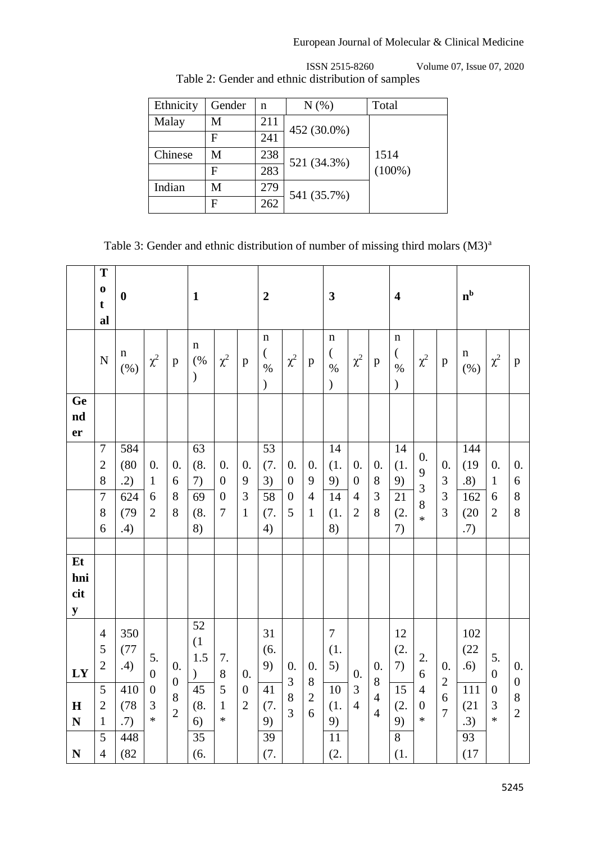| Ethnicity | Gender | n   | $N(\%)$     | Total     |
|-----------|--------|-----|-------------|-----------|
| Malay     | М      | 211 | 452 (30.0%) |           |
|           | F      | 241 |             |           |
| Chinese   | M      | 238 | 521 (34.3%) | 1514      |
|           | F      | 283 |             | $(100\%)$ |
| Indian    | М      | 279 | 541 (35.7%) |           |
|           | F      | 262 |             |           |

 ISSN 2515-8260 Volume 07, Issue 07, 2020 Table 2: Gender and ethnic distribution of samples

Table 3: Gender and ethnic distribution of number of missing third molars (M3)<sup>a</sup>

|                                        | T<br>$\bf{0}$<br>t<br>al                                  | $\boldsymbol{0}$          |                                              |                                        | $\mathbf{1}$                       |                                        |                                    | $\boldsymbol{2}$                                          |                                                          |                           | $\mathbf{3}$                                     |                                                        |                                       | $\overline{\mathbf{4}}$                                   |                                            |                      | $\mathbf{n}^{\mathrm{b}}$ |                                 |                                |
|----------------------------------------|-----------------------------------------------------------|---------------------------|----------------------------------------------|----------------------------------------|------------------------------------|----------------------------------------|------------------------------------|-----------------------------------------------------------|----------------------------------------------------------|---------------------------|--------------------------------------------------|--------------------------------------------------------|---------------------------------------|-----------------------------------------------------------|--------------------------------------------|----------------------|---------------------------|---------------------------------|--------------------------------|
|                                        | ${\bf N}$                                                 | $\mathbf n$<br>$(\% )$    | $\chi^2$                                     | $\mathbf{p}$                           | $\mathbf n$<br>(%<br>$\mathcal{E}$ | $\chi^2$                               | $\mathbf{p}$                       | $\mathbf n$<br>$\left($<br>$\frac{0}{0}$<br>$\mathcal{L}$ | $\chi^2$                                                 | $\mathbf{p}$              | $\mathbf n$<br>$\left($<br>$\%$<br>$\mathcal{E}$ | $\chi^2$                                               | $\mathbf{p}$                          | $\mathbf n$<br>$\left($<br>$\frac{0}{0}$<br>$\mathcal{E}$ | $\chi^2$                                   | $\mathbf{p}$         | $\mathbf n$<br>$(\% )$    | $\chi^2$                        | $\mathbf{p}$                   |
| Ge<br>$\mathbf{nd}$<br>er              |                                                           |                           |                                              |                                        |                                    |                                        |                                    |                                                           |                                                          |                           |                                                  |                                                        |                                       |                                                           |                                            |                      |                           |                                 |                                |
|                                        | $\boldsymbol{7}$<br>$\overline{c}$<br>8<br>$\overline{7}$ | 584<br>(80)<br>.2)<br>624 | 0.<br>$\mathbf{1}$<br>6                      | $\mathbf{0}$ .<br>6<br>8               | 63<br>(8.<br>7)<br>69              | 0.<br>$\overline{0}$<br>$\overline{0}$ | 0.<br>9<br>$\mathfrak{Z}$          | 53<br>(7.<br>3)<br>58                                     | $\overline{0}$ .<br>$\boldsymbol{0}$<br>$\boldsymbol{0}$ | 0.<br>9<br>$\overline{4}$ | 14<br>(1.<br>9)<br>14                            | $\overline{0}$ .<br>$\boldsymbol{0}$<br>$\overline{4}$ | $\theta$ .<br>$8\,$<br>$\mathfrak{Z}$ | 14<br>(1.<br>9)<br>21                                     | 0.<br>9<br>3<br>8                          | 0.<br>3<br>3         | 144<br>(19)<br>.8)<br>162 | 0.<br>$\mathbf{1}$<br>6         | $\overline{0}$ .<br>6<br>$8\,$ |
|                                        | 8<br>6                                                    | (79)<br>.4)               | $\overline{2}$                               | 8                                      | (8.<br>8)                          | $\overline{7}$                         | $\mathbf{1}$                       | (7.<br>4)                                                 | 5                                                        | $\mathbf{1}$              | (1.<br>8)                                        | $\overline{2}$                                         | 8                                     | (2.<br>7)                                                 | $\ast$                                     | 3                    | (20)<br>.7)               | $\overline{2}$                  | 8                              |
| Et<br>hni<br>cit<br>${\bf y}$          |                                                           |                           |                                              |                                        |                                    |                                        |                                    |                                                           |                                                          |                           |                                                  |                                                        |                                       |                                                           |                                            |                      |                           |                                 |                                |
| LY                                     | $\overline{4}$<br>5<br>$\mathbf{2}$                       | 350<br>(77)<br>.4)        | 5.<br>$\overline{0}$                         | $\boldsymbol{0}$ .<br>$\boldsymbol{0}$ | 52<br>(1)<br>1.5<br>$\lambda$      | 7.<br>$8\,$                            | $\overline{0}$ .                   | 31<br>(6.<br>9)                                           | 0.<br>3                                                  | 0.<br>$8\,$               | $\overline{7}$<br>(1.<br>5)                      | $\overline{0}$ .                                       | 0.<br>8                               | 12<br>(2.<br>7)                                           | 2.<br>6                                    | 0.<br>$\overline{2}$ | 102<br>(22)<br>.6)        | 5.<br>$\theta$                  | $\theta$ .<br>$\boldsymbol{0}$ |
| $\mathbf H$<br>$\overline{\mathbf{N}}$ | 5<br>$\overline{2}$<br>$\mathbf{1}$<br>5                  | 410<br>(78)<br>.7)<br>448 | $\boldsymbol{0}$<br>$\overline{3}$<br>$\ast$ | 8<br>$\overline{2}$                    | 45<br>(8.<br>6)<br>$\overline{35}$ | 5<br>$\mathbf{1}$<br>$\ast$            | $\boldsymbol{0}$<br>$\overline{2}$ | 41<br>(7.<br>9)<br>39                                     | 8<br>$\overline{3}$                                      | $\overline{2}$<br>6       | 10<br>(1.<br>9)<br>11                            | $\mathfrak{Z}$<br>$\overline{4}$                       | $\overline{4}$<br>$\overline{4}$      | 15<br>(2.<br>9)<br>$\overline{8}$                         | $\overline{4}$<br>$\overline{0}$<br>$\ast$ | 6<br>$\overline{7}$  | 111<br>(21)<br>.3)<br>93  | $\boldsymbol{0}$<br>3<br>$\ast$ | $\,8\,$<br>$\overline{2}$      |
| $\mathbf N$                            | $\overline{4}$                                            | (82)                      |                                              |                                        | (6.                                |                                        |                                    | (7.                                                       |                                                          |                           | (2.                                              |                                                        |                                       | (1.                                                       |                                            |                      | (17)                      |                                 |                                |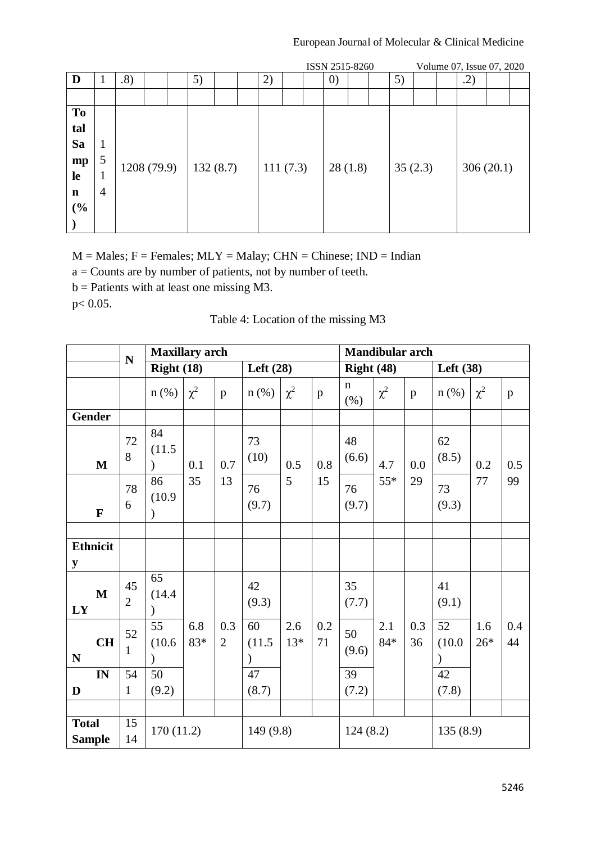|             |   |             |  |    |          |          |  | ISSN 2515-8260    |  |         |  | Volume 07, Issue 07, 2020 |  |
|-------------|---|-------------|--|----|----------|----------|--|-------------------|--|---------|--|---------------------------|--|
| D           |   | .8)         |  | 5) |          | 2)       |  | $\left( 0\right)$ |  | 5)      |  | .2)                       |  |
|             |   |             |  |    |          |          |  |                   |  |         |  |                           |  |
| <b>To</b>   |   |             |  |    |          |          |  |                   |  |         |  |                           |  |
| tal         |   |             |  |    |          |          |  |                   |  |         |  |                           |  |
| Sa          | 1 |             |  |    |          |          |  |                   |  |         |  |                           |  |
| mp          | 5 | 1208 (79.9) |  |    | 132(8.7) |          |  | 28(1.8)           |  | 35(2.3) |  |                           |  |
| le          | T |             |  |    |          | 111(7.3) |  |                   |  |         |  | 306(20.1)                 |  |
| $\mathbf n$ | 4 |             |  |    |          |          |  |                   |  |         |  |                           |  |
| (%)         |   |             |  |    |          |          |  |                   |  |         |  |                           |  |
|             |   |             |  |    |          |          |  |                   |  |         |  |                           |  |

 $M =$  Males;  $F =$  Females;  $MLY =$  Malay;  $CHN =$  Chinese;  $IND =$  Indian

a = Counts are by number of patients, not by number of teeth.

b = Patients with at least one missing M3.

p< 0.05.

# Table 4: Location of the missing M3

|                               | ${\bf N}$            | <b>Maxillary</b> arch         |            |                       |                               |              |              |                     | <b>Mandibular arch</b> |              |                               |              |           |
|-------------------------------|----------------------|-------------------------------|------------|-----------------------|-------------------------------|--------------|--------------|---------------------|------------------------|--------------|-------------------------------|--------------|-----------|
|                               |                      | Right $(18)$                  |            |                       | Left $(28)$                   |              |              | Right $(48)$        |                        |              | Left (38)                     |              |           |
|                               |                      | $n$ (%)                       | $\chi^2$   | p                     | $n$ (%)                       | $\chi^2$     | $\mathbf{p}$ | $\mathbf n$<br>(% ) | $\chi^2$               | $\mathbf{p}$ | $n$ (%)                       | $\chi^2$     | p         |
| <b>Gender</b>                 |                      |                               |            |                       |                               |              |              |                     |                        |              |                               |              |           |
| $\mathbf M$                   | 72<br>8              | 84<br>(11.5)                  | 0.1        | 0.7                   | 73<br>(10)                    | 0.5          | 0.8          | 48<br>(6.6)         | 4.7                    | 0.0          | 62<br>(8.5)                   | 0.2          | 0.5       |
| $\mathbf{F}$                  | 78<br>6              | 86<br>(10.9)<br>$\mathcal{E}$ | 35         | 13                    | 76<br>(9.7)                   | 5            | 15           | 76<br>(9.7)         | $55*$                  | 29           | 73<br>(9.3)                   | 77           | 99        |
|                               |                      |                               |            |                       |                               |              |              |                     |                        |              |                               |              |           |
| <b>Ethnicit</b><br>y          |                      |                               |            |                       |                               |              |              |                     |                        |              |                               |              |           |
| $\mathbf{M}$<br>LY            | 45<br>$\overline{2}$ | 65<br>(14.4)                  |            |                       | 42<br>(9.3)                   |              |              | 35<br>(7.7)         |                        |              | 41<br>(9.1)                   |              |           |
| CH<br>$\mathbf N$             | 52<br>$\mathbf{1}$   | 55<br>(10.6)<br>$\lambda$     | 6.8<br>83* | 0.3<br>$\overline{2}$ | 60<br>(11.5)<br>$\mathcal{E}$ | 2.6<br>$13*$ | 0.2<br>71    | 50<br>(9.6)         | 2.1<br>$84*$           | 0.3<br>36    | 52<br>(10.0)<br>$\mathcal{C}$ | 1.6<br>$26*$ | 0.4<br>44 |
| $\mathbf{IN}$                 | 54                   | 50                            |            |                       | 47                            |              |              | 39                  |                        |              | 42                            |              |           |
| D                             | $\mathbf{1}$         | (9.2)                         |            |                       | (8.7)                         |              |              | (7.2)               |                        |              | (7.8)                         |              |           |
|                               |                      |                               |            |                       |                               |              |              |                     |                        |              |                               |              |           |
| <b>Total</b><br><b>Sample</b> | 15<br>14             | 170(11.2)                     |            |                       | 149 (9.8)                     |              |              | 124(8.2)            |                        |              | 135(8.9)                      |              |           |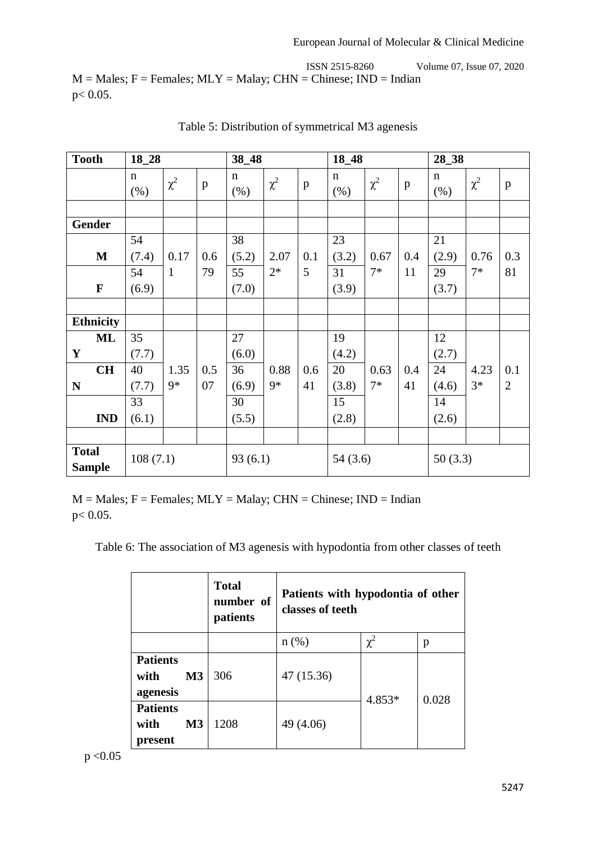ISSN 2515-8260 Volume 07, Issue 07, 2020  $M =$  Males;  $F =$  Females;  $MLY =$  Malay;  $CHN =$  Chinese;  $IND =$  Indian p< 0.05.

| <b>Tooth</b>                  | 18_28               |              |              | 38_48               |          |     | 18_48               |          |              | 28_38               |          |                |
|-------------------------------|---------------------|--------------|--------------|---------------------|----------|-----|---------------------|----------|--------------|---------------------|----------|----------------|
|                               | $\mathbf n$<br>(% ) | $\chi^2$     | $\, {\bf p}$ | $\mathbf n$<br>(% ) | $\chi^2$ | p   | $\mathbf n$<br>(% ) | $\chi^2$ | $\mathbf{p}$ | $\mathbf n$<br>(% ) | $\chi^2$ | $\mathbf{p}$   |
|                               |                     |              |              |                     |          |     |                     |          |              |                     |          |                |
| Gender                        |                     |              |              |                     |          |     |                     |          |              |                     |          |                |
|                               | 54                  |              |              | 38                  |          |     | 23                  |          |              | 21                  |          |                |
| M                             | (7.4)               | 0.17         | 0.6          | (5.2)               | 2.07     | 0.1 | (3.2)               | 0.67     | 0.4          | (2.9)               | 0.76     | 0.3            |
|                               | 54                  | $\mathbf{1}$ | 79           | 55                  | $2*$     | 5   | 31                  | $7*$     | 11           | 29                  | $7*$     | 81             |
| $\mathbf F$                   | (6.9)               |              |              | (7.0)               |          |     | (3.9)               |          |              | (3.7)               |          |                |
|                               |                     |              |              |                     |          |     |                     |          |              |                     |          |                |
| <b>Ethnicity</b>              |                     |              |              |                     |          |     |                     |          |              |                     |          |                |
| <b>ML</b>                     | 35                  |              |              | 27                  |          |     | 19                  |          |              | 12                  |          |                |
| Y                             | (7.7)               |              |              | (6.0)               |          |     | (4.2)               |          |              | (2.7)               |          |                |
| <b>CH</b>                     | 40                  | 1.35         | 0.5          | 36                  | 0.88     | 0.6 | 20                  | 0.63     | 0.4          | 24                  | 4.23     | 0.1            |
| N                             | (7.7)               | $9*$         | 07           | (6.9)               | $9*$     | 41  | (3.8)               | $7*$     | 41           | (4.6)               | $3*$     | $\overline{2}$ |
|                               | 33                  |              |              | 30                  |          |     | 15                  |          |              | 14                  |          |                |
| <b>IND</b>                    | (6.1)               |              |              | (5.5)               |          |     | (2.8)               |          |              | (2.6)               |          |                |
|                               |                     |              |              |                     |          |     |                     |          |              |                     |          |                |
| <b>Total</b><br><b>Sample</b> | 108(7.1)            |              |              | 93(6.1)             |          |     | 54(3.6)             |          |              | 50(3.3)             |          |                |

Table 5: Distribution of symmetrical M3 agenesis

 $M =$  Males;  $F =$  Females;  $MLY =$  Malay;  $CHN =$  Chinese;  $IND =$  Indian p< 0.05.

Table 6: The association of M3 agenesis with hypodontia from other classes of teeth

|                                                       | <b>Total</b><br>number of<br>patients | Patients with hypodontia of other<br>classes of teeth |          |       |
|-------------------------------------------------------|---------------------------------------|-------------------------------------------------------|----------|-------|
|                                                       |                                       | $n(\%)$                                               | $\chi^2$ | p     |
| <b>Patients</b><br>M <sub>3</sub><br>with<br>agenesis | 306                                   | 47 (15.36)                                            | 4.853*   | 0.028 |
| <b>Patients</b><br>M <sub>3</sub><br>with<br>present  | 1208                                  | 49 (4.06)                                             |          |       |

 $p < 0.05$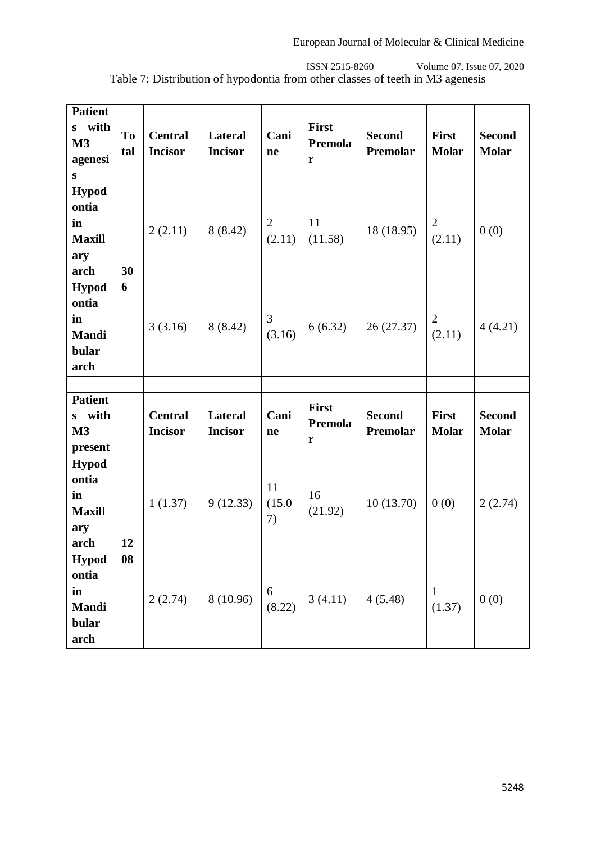ISSN 2515-8260 Volume 07, Issue 07, 2020 Table 7: Distribution of hypodontia from other classes of teeth in M3 agenesis

| <b>Patient</b><br>s with<br>M3<br>agenesi<br>${\bf S}$       | To<br>tal | <b>Central</b><br><b>Incisor</b> | <b>Lateral</b><br><b>Incisor</b> | Cani<br>ne               | First<br>Premola<br>r        | <b>Second</b><br>Premolar | First<br><b>Molar</b>        | <b>Second</b><br><b>Molar</b> |
|--------------------------------------------------------------|-----------|----------------------------------|----------------------------------|--------------------------|------------------------------|---------------------------|------------------------------|-------------------------------|
| <b>Hypod</b><br>ontia<br>in<br><b>Maxill</b><br>ary<br>arch  | 30        | 2(2.11)                          | 8(8.42)                          | $\overline{2}$<br>(2.11) | 11<br>(11.58)                | 18 (18.95)                | $\overline{2}$<br>(2.11)     | 0(0)                          |
| <b>Hypod</b><br>ontia<br>in<br><b>Mandi</b><br>bular<br>arch | 6         | 3(3.16)                          | 8(8.42)                          | 3<br>(3.16)              | 6(6.32)                      | 26 (27.37)                | $\overline{2}$<br>(2.11)     | 4(4.21)                       |
|                                                              |           |                                  |                                  |                          |                              |                           |                              |                               |
|                                                              |           |                                  |                                  |                          |                              |                           |                              |                               |
| <b>Patient</b><br>s with<br>M3<br>present                    |           | <b>Central</b><br><b>Incisor</b> | Lateral<br><b>Incisor</b>        | Cani<br>ne               | <b>First</b><br>Premola<br>r | <b>Second</b><br>Premolar | <b>First</b><br><b>Molar</b> | <b>Second</b><br><b>Molar</b> |
| <b>Hypod</b><br>ontia<br>in<br><b>Maxill</b><br>ary<br>arch  | 12        | 1(1.37)                          | 9(12.33)                         | 11<br>(15.0)<br>7)       | 16<br>(21.92)                | 10(13.70)                 | 0(0)                         | 2(2.74)                       |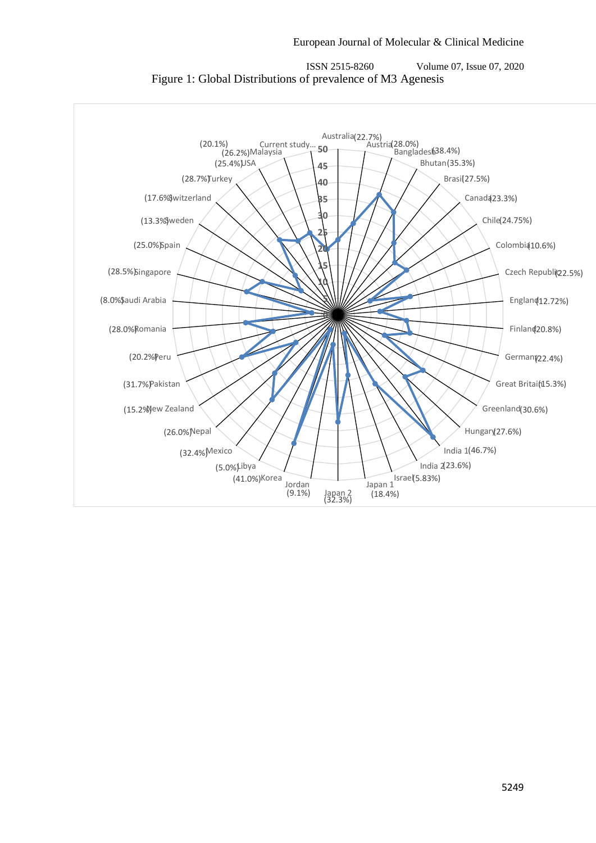

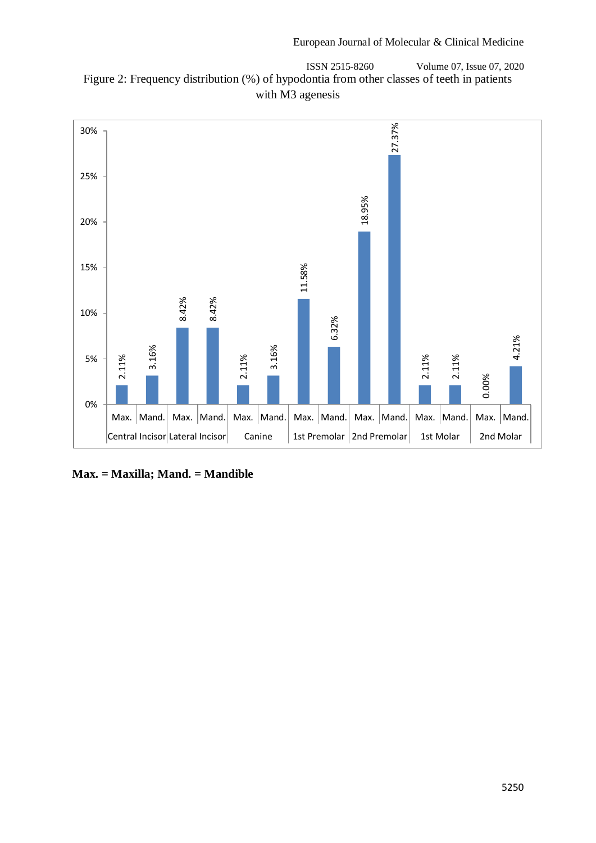ISSN 2515-8260 Volume 07, Issue 07, 2020 Figure 2: Frequency distribution (%) of hypodontia from other classes of teeth in patients with M3 agenesis

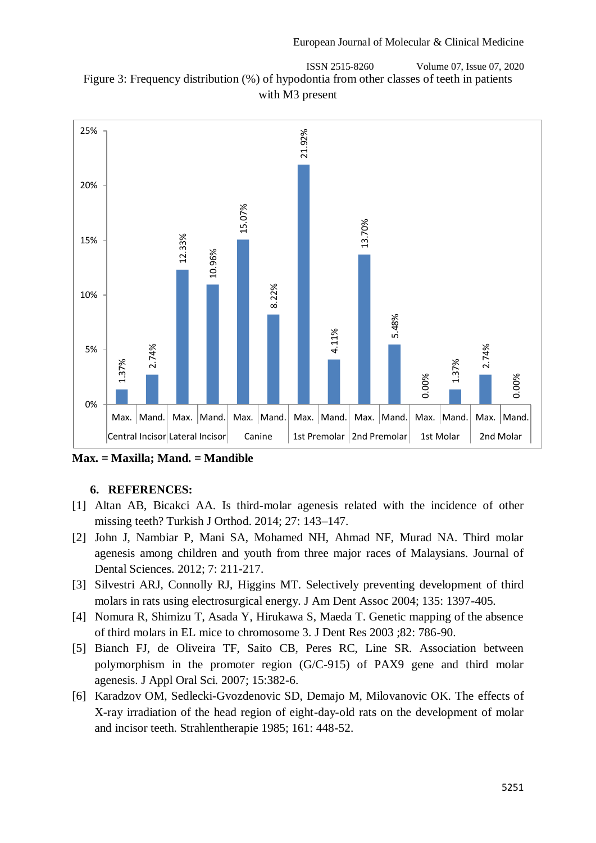



**Max. = Maxilla; Mand. = Mandible**

## **6. REFERENCES:**

- [1] Altan AB, Bicakci AA. Is third-molar agenesis related with the incidence of other missing teeth? Turkish J Orthod. 2014; 27: 143–147.
- [2] John J, Nambiar P, Mani SA, Mohamed NH, Ahmad NF, Murad NA. Third molar agenesis among children and youth from three major races of Malaysians. Journal of Dental Sciences. 2012; 7: 211-217.
- [3] Silvestri ARJ, Connolly RJ, Higgins MT. Selectively preventing development of third molars in rats using electrosurgical energy. J Am Dent Assoc 2004; 135: 1397-405.
- [4] Nomura R, Shimizu T, Asada Y, Hirukawa S, Maeda T. Genetic mapping of the absence of third molars in EL mice to chromosome 3. J Dent Res 2003 ;82: 786-90.
- [5] Bianch FJ, de Oliveira TF, Saito CB, Peres RC, Line SR. Association between polymorphism in the promoter region (G/C-915) of PAX9 gene and third molar agenesis. J Appl Oral Sci. 2007; 15:382-6.
- [6] Karadzov OM, Sedlecki-Gvozdenovic SD, Demajo M, Milovanovic OK. The effects of X-ray irradiation of the head region of eight-day-old rats on the development of molar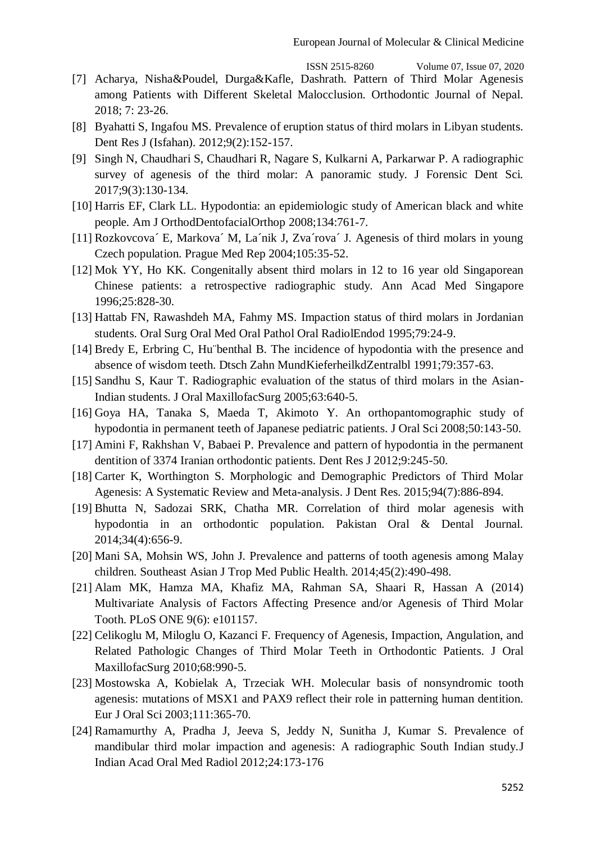- [7] Acharya, Nisha&Poudel, Durga&Kafle, Dashrath. Pattern of Third Molar Agenesis among Patients with Different Skeletal Malocclusion. Orthodontic Journal of Nepal. 2018; 7: 23-26.
- [8] Byahatti S, Ingafou MS. Prevalence of eruption status of third molars in Libyan students. Dent Res J (Isfahan). 2012;9(2):152-157.
- [9] Singh N, Chaudhari S, Chaudhari R, Nagare S, Kulkarni A, Parkarwar P. A radiographic survey of agenesis of the third molar: A panoramic study. J Forensic Dent Sci. 2017;9(3):130-134.
- [10] Harris EF, Clark LL. Hypodontia: an epidemiologic study of American black and white people. Am J OrthodDentofacialOrthop 2008;134:761-7.
- [11] Rozkovcova´ E, Markova´ M, La´nik J, Zva´rova´ J. Agenesis of third molars in young Czech population. Prague Med Rep 2004;105:35-52.
- [12] Mok YY, Ho KK. Congenitally absent third molars in 12 to 16 year old Singaporean Chinese patients: a retrospective radiographic study. Ann Acad Med Singapore 1996;25:828-30.
- [13] Hattab FN, Rawashdeh MA, Fahmy MS. Impaction status of third molars in Jordanian students. Oral Surg Oral Med Oral Pathol Oral RadiolEndod 1995;79:24-9.
- [14] Bredy E, Erbring C, Hu¨benthal B. The incidence of hypodontia with the presence and absence of wisdom teeth. Dtsch Zahn MundKieferheilkdZentralbl 1991;79:357-63.
- [15] Sandhu S, Kaur T. Radiographic evaluation of the status of third molars in the Asian-Indian students. J Oral MaxillofacSurg 2005;63:640-5.
- [16] Goya HA, Tanaka S, Maeda T, Akimoto Y. An orthopantomographic study of hypodontia in permanent teeth of Japanese pediatric patients. J Oral Sci 2008;50:143-50.
- [17] Amini F, Rakhshan V, Babaei P. Prevalence and pattern of hypodontia in the permanent dentition of 3374 Iranian orthodontic patients. Dent Res J 2012;9:245-50.
- [18] Carter K, Worthington S. Morphologic and Demographic Predictors of Third Molar Agenesis: A Systematic Review and Meta-analysis. J Dent Res. 2015;94(7):886-894.
- [19] Bhutta N, Sadozai SRK, Chatha MR. Correlation of third molar agenesis with hypodontia in an orthodontic population. Pakistan Oral & Dental Journal. 2014;34(4):656-9.
- [20] Mani SA, Mohsin WS, John J. Prevalence and patterns of tooth agenesis among Malay children. Southeast Asian J Trop Med Public Health. 2014;45(2):490-498.
- [21] Alam MK, Hamza MA, Khafiz MA, Rahman SA, Shaari R, Hassan A (2014) Multivariate Analysis of Factors Affecting Presence and/or Agenesis of Third Molar Tooth. PLoS ONE 9(6): e101157.
- [22] Celikoglu M, Miloglu O, Kazanci F. Frequency of Agenesis, Impaction, Angulation, and Related Pathologic Changes of Third Molar Teeth in Orthodontic Patients. J Oral MaxillofacSurg 2010;68:990-5.
- [23] Mostowska A, Kobielak A, Trzeciak WH. Molecular basis of nonsyndromic tooth agenesis: mutations of MSX1 and PAX9 reflect their role in patterning human dentition. Eur J Oral Sci 2003;111:365-70.
- [24] Ramamurthy A, Pradha J, Jeeva S, Jeddy N, Sunitha J, Kumar S. Prevalence of mandibular third molar impaction and agenesis: A radiographic South Indian study.J Indian Acad Oral Med Radiol 2012;24:173-176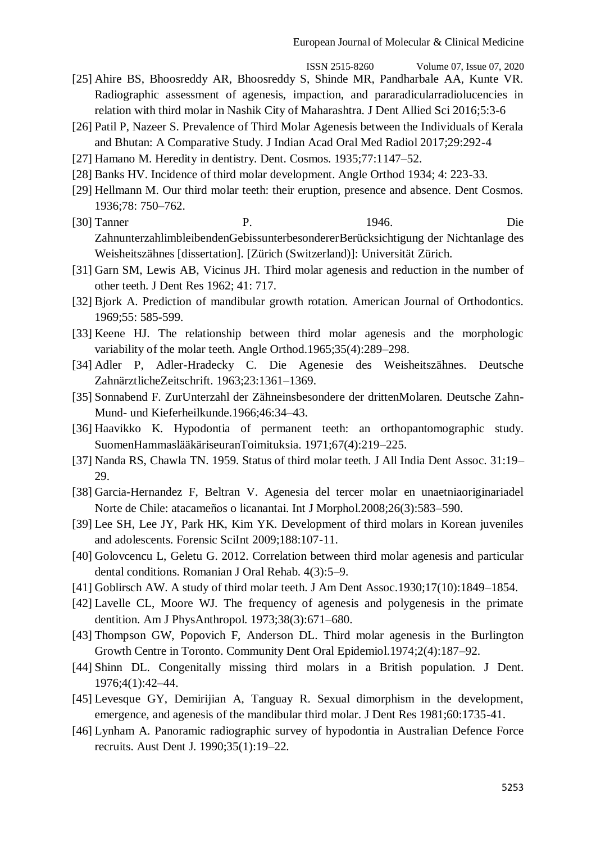- [25] Ahire BS, Bhoosreddy AR, Bhoosreddy S, Shinde MR, Pandharbale AA, Kunte VR. Radiographic assessment of agenesis, impaction, and pararadicularradiolucencies in relation with third molar in Nashik City of Maharashtra. J Dent Allied Sci 2016;5:3-6
- [26] Patil P, Nazeer S. Prevalence of Third Molar Agenesis between the Individuals of Kerala and Bhutan: A Comparative Study. J Indian Acad Oral Med Radiol 2017;29:292-4
- [27] Hamano M. Heredity in dentistry. Dent. Cosmos. 1935;77:1147–52.
- [28] Banks HV. Incidence of third molar development. Angle Orthod 1934; 4: 223-33.
- [29] Hellmann M. Our third molar teeth: their eruption, presence and absence. Dent Cosmos. 1936;78: 750–762.
- [30] Tanner P. 1946. Die ZahnunterzahlimbleibendenGebissunterbesondererBerücksichtigung der Nichtanlage des Weisheitszähnes [dissertation]. [Zürich (Switzerland)]: Universität Zürich.
- [31] Garn SM, Lewis AB, Vicinus JH. Third molar agenesis and reduction in the number of other teeth. J Dent Res 1962; 41: 717.
- [32] Bjork A. Prediction of mandibular growth rotation. American Journal of Orthodontics. 1969;55: 585-599.
- [33] Keene HJ. The relationship between third molar agenesis and the morphologic variability of the molar teeth. Angle Orthod.1965;35(4):289–298.
- [34] Adler P, Adler-Hradecky C. Die Agenesie des Weisheitszähnes. Deutsche ZahnärztlicheZeitschrift. 1963;23:1361–1369.
- [35] Sonnabend F. ZurUnterzahl der Zähneinsbesondere der drittenMolaren. Deutsche Zahn-Mund- und Kieferheilkunde.1966;46:34–43.
- [36] Haavikko K. Hypodontia of permanent teeth: an orthopantomographic study. SuomenHammaslääkäriseuranToimituksia. 1971;67(4):219–225.
- [37] Nanda RS, Chawla TN. 1959. Status of third molar teeth. J All India Dent Assoc. 31:19– 29.
- [38] Garcia-Hernandez F, Beltran V. Agenesia del tercer molar en unaetniaoriginariadel Norte de Chile: atacameños o licanantai. Int J Morphol.2008;26(3):583–590.
- [39] Lee SH, Lee JY, Park HK, Kim YK. Development of third molars in Korean juveniles and adolescents. Forensic SciInt 2009;188:107-11.
- [40] Golovcencu L, Geletu G. 2012. Correlation between third molar agenesis and particular dental conditions. Romanian J Oral Rehab. 4(3):5–9.
- [41] Goblirsch AW. A study of third molar teeth. J Am Dent Assoc.1930;17(10):1849–1854.
- [42] Lavelle CL, Moore WJ. The frequency of agenesis and polygenesis in the primate dentition. Am J PhysAnthropol. 1973;38(3):671–680.
- [43] Thompson GW, Popovich F, Anderson DL. Third molar agenesis in the Burlington Growth Centre in Toronto. Community Dent Oral Epidemiol.1974;2(4):187–92.
- [44] Shinn DL. Congenitally missing third molars in a British population. J Dent. 1976;4(1):42–44.
- [45] Levesque GY, Demirijian A, Tanguay R. Sexual dimorphism in the development, emergence, and agenesis of the mandibular third molar. J Dent Res 1981;60:1735-41.
- [46] Lynham A. Panoramic radiographic survey of hypodontia in Australian Defence Force recruits. Aust Dent J. 1990;35(1):19–22.